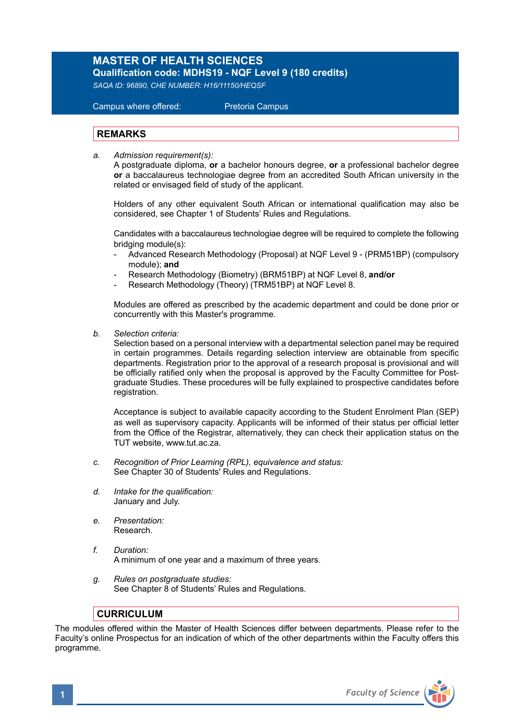## **MASTER OF HEALTH SCIENCES**

**Qualification code: MDHS19 - NQF Level 9 (180 credits)**  *SAQA ID: 96890, CHE NUMBER: H16/11150/HEQSF* 

# Campus where offered: Pretoria Campus

#### **REMARKS**

*a. Admission requirement(s):* 

A postgraduate diploma, **or** a bachelor honours degree, **or** a professional bachelor degree **or** a baccalaureus technologiae degree from an accredited South African university in the related or envisaged field of study of the applicant.

Holders of any other equivalent South African or international qualification may also be considered, see Chapter 1 of Students' Rules and Regulations.

 Candidates with a baccalaureus technologiae degree will be required to complete the following bridging module(s):

- Advanced Research Methodology (Proposal) at NQF Level 9 (PRM51BP) (compulsory module); **and**
- Research Methodology (Biometry) (BRM51BP) at NQF Level 8, **and/or**
- Research Methodology (Theory) (TRM51BP) at NQF Level 8.

Modules are offered as prescribed by the academic department and could be done prior or concurrently with this Master's programme.

*b. Selection criteria:*

Selection based on a personal interview with a departmental selection panel may be required in certain programmes. Details regarding selection interview are obtainable from specific departments. Registration prior to the approval of a research proposal is provisional and will be officially ratified only when the proposal is approved by the Faculty Committee for Postgraduate Studies. These procedures will be fully explained to prospective candidates before registration.

Acceptance is subject to available capacity according to the Student Enrolment Plan (SEP) as well as supervisory capacity. Applicants will be informed of their status per official letter from the Office of the Registrar, alternatively, they can check their application status on the TUT website, www.tut.ac.za.

- *c. Recognition of Prior Learning (RPL), equivalence and status:* See Chapter 30 of Students' Rules and Regulations.
- *d. Intake for the qualification:* January and July.
- *e. Presentation:* Research.
- *f. Duration:*  A minimum of one year and a maximum of three years.
- *g. Rules on postgraduate studies:* See Chapter 8 of Students' Rules and Regulations.

#### **CURRICULUM**

The modules offered within the Master of Health Sciences differ between departments. Please refer to the Faculty's online Prospectus for an indication of which of the other departments within the Faculty offers this programme.